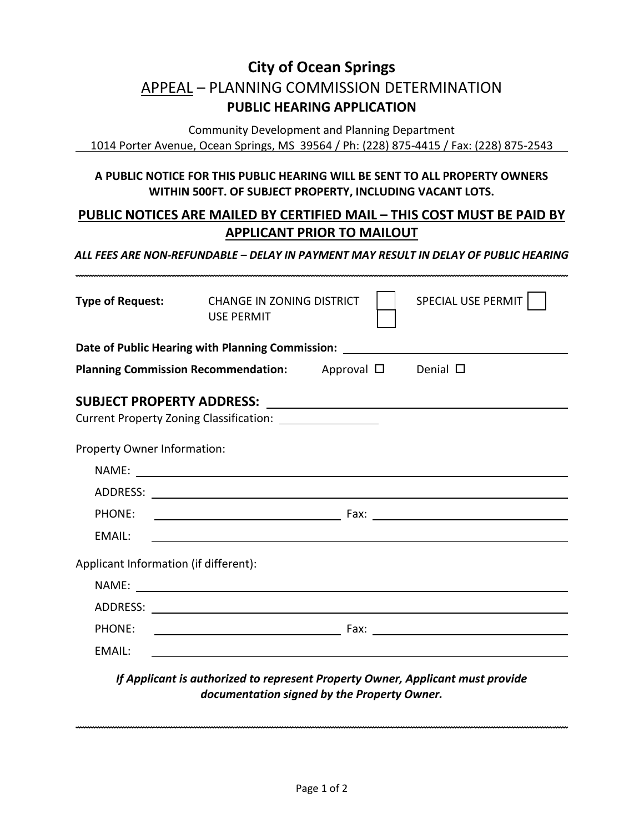## **City of Ocean Springs** APPEAL – PLANNING COMMISSION DETERMINATION **PUBLIC HEARING APPLICATION**

Community Development and Planning Department 1014 Porter Avenue, Ocean Springs, MS 39564 / Ph: (228) 875-4415 / Fax: (228) 875-2543

## **A PUBLIC NOTICE FOR THIS PUBLIC HEARING WILL BE SENT TO ALL PROPERTY OWNERS WITHIN 500FT. OF SUBJECT PROPERTY, INCLUDING VACANT LOTS.**

## **PUBLIC NOTICES ARE MAILED BY CERTIFIED MAIL – THIS COST MUST BE PAID BY APPLICANT PRIOR TO MAILOUT**

## *ALL FEES ARE NON-REFUNDABLE – DELAY IN PAYMENT MAY RESULT IN DELAY OF PUBLIC HEARING*

| <b>Type of Request:</b>                                                          | <b>CHANGE IN ZONING DISTRICT</b><br><b>USE PERMIT</b> |  |  | SPECIAL USE PERMIT                                                                                                     |  |
|----------------------------------------------------------------------------------|-------------------------------------------------------|--|--|------------------------------------------------------------------------------------------------------------------------|--|
| Date of Public Hearing with Planning Commission: _______________________________ |                                                       |  |  |                                                                                                                        |  |
| <b>Planning Commission Recommendation:</b> Approval $\Box$                       |                                                       |  |  | Denial $\square$                                                                                                       |  |
|                                                                                  |                                                       |  |  |                                                                                                                        |  |
| Current Property Zoning Classification: _____________________                    |                                                       |  |  |                                                                                                                        |  |
| Property Owner Information:                                                      |                                                       |  |  |                                                                                                                        |  |
|                                                                                  |                                                       |  |  |                                                                                                                        |  |
|                                                                                  |                                                       |  |  |                                                                                                                        |  |
| PHONE:                                                                           |                                                       |  |  | о при последните при подрачки при пример, в разготовательно при пример, в разготовательно при пример, при прим         |  |
| EMAIL:                                                                           |                                                       |  |  |                                                                                                                        |  |
| Applicant Information (if different):                                            |                                                       |  |  |                                                                                                                        |  |
|                                                                                  | NAME:                                                 |  |  |                                                                                                                        |  |
|                                                                                  |                                                       |  |  |                                                                                                                        |  |
| PHONE:                                                                           |                                                       |  |  | <u>Executive Contract Contract Contract Contract Contract Contract Contract Contract Contract Contract Contract Co</u> |  |
| <b>EMAIL:</b>                                                                    |                                                       |  |  |                                                                                                                        |  |

*If Applicant is authorized to represent Property Owner, Applicant must provide documentation signed by the Property Owner.*